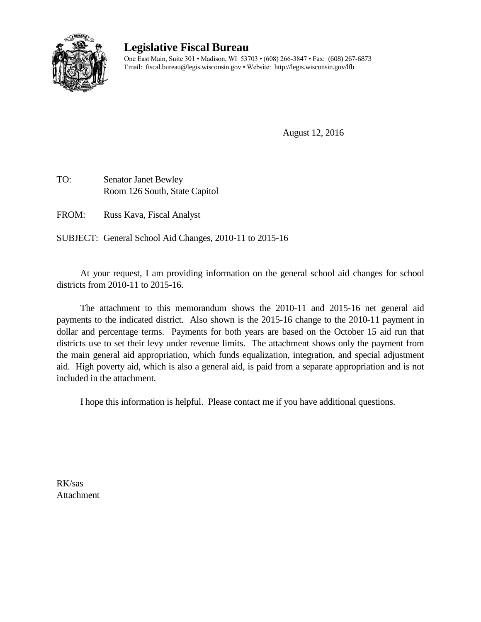

## **Legislative Fiscal Bureau**

One East Main, Suite 301 • Madison, WI 53703 • (608) 266-3847 • Fax: (608) 267-6873 Email: fiscal.bureau@legis.wisconsin.gov • Website: http://legis.wisconsin.gov/lfb

August 12, 2016

TO: Senator Janet Bewley Room 126 South, State Capitol

FROM: Russ Kava, Fiscal Analyst

SUBJECT: General School Aid Changes, 2010-11 to 2015-16

At your request, I am providing information on the general school aid changes for school districts from 2010-11 to 2015-16.

The attachment to this memorandum shows the 2010-11 and 2015-16 net general aid payments to the indicated district. Also shown is the 2015-16 change to the 2010-11 payment in dollar and percentage terms. Payments for both years are based on the October 15 aid run that districts use to set their levy under revenue limits. The attachment shows only the payment from the main general aid appropriation, which funds equalization, integration, and special adjustment aid. High poverty aid, which is also a general aid, is paid from a separate appropriation and is not included in the attachment.

I hope this information is helpful. Please contact me if you have additional questions.

RK/sas **Attachment**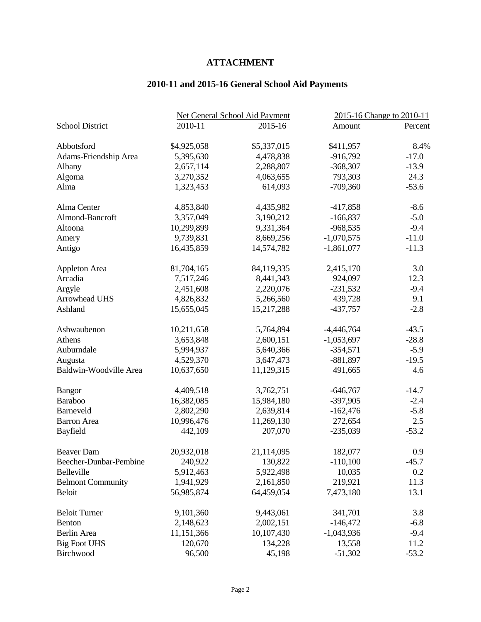## **ATTACHMENT**

## **2010-11 and 2015-16 General School Aid Payments**

|                          |             | Net General School Aid Payment | 2015-16 Change to 2010-11 |         |
|--------------------------|-------------|--------------------------------|---------------------------|---------|
| <b>School District</b>   | 2010-11     | $2015 - 16$                    | <b>Amount</b>             | Percent |
| Abbotsford               | \$4,925,058 | \$5,337,015                    | \$411,957                 | 8.4%    |
| Adams-Friendship Area    | 5,395,630   | 4,478,838                      | $-916,792$                | $-17.0$ |
| Albany                   | 2,657,114   | 2,288,807                      | $-368,307$                | $-13.9$ |
| Algoma                   | 3,270,352   | 4,063,655                      | 793,303                   | 24.3    |
| Alma                     | 1,323,453   | 614,093                        | $-709,360$                | $-53.6$ |
| Alma Center              | 4,853,840   | 4,435,982                      | $-417,858$                | $-8.6$  |
| Almond-Bancroft          | 3,357,049   | 3,190,212                      | $-166,837$                | $-5.0$  |
| Altoona                  | 10,299,899  | 9,331,364                      | $-968,535$                | $-9.4$  |
| Amery                    | 9,739,831   | 8,669,256                      | $-1,070,575$              | $-11.0$ |
| Antigo                   | 16,435,859  | 14,574,782                     | $-1,861,077$              | $-11.3$ |
| Appleton Area            | 81,704,165  | 84,119,335                     | 2,415,170                 | 3.0     |
| Arcadia                  | 7,517,246   | 8,441,343                      | 924,097                   | 12.3    |
| Argyle                   | 2,451,608   | 2,220,076                      | $-231,532$                | $-9.4$  |
| Arrowhead UHS            | 4,826,832   | 5,266,560                      | 439,728                   | 9.1     |
| Ashland                  | 15,655,045  | 15,217,288                     | $-437,757$                | $-2.8$  |
| Ashwaubenon              | 10,211,658  | 5,764,894                      | $-4,446,764$              | $-43.5$ |
| Athens                   | 3,653,848   | 2,600,151                      | $-1,053,697$              | $-28.8$ |
| Auburndale               | 5,994,937   | 5,640,366                      | $-354,571$                | $-5.9$  |
| Augusta                  | 4,529,370   | 3,647,473                      | $-881,897$                | $-19.5$ |
| Baldwin-Woodville Area   | 10,637,650  | 11,129,315                     | 491,665                   | 4.6     |
| Bangor                   | 4,409,518   | 3,762,751                      | $-646,767$                | $-14.7$ |
| Baraboo                  | 16,382,085  | 15,984,180                     | $-397,905$                | $-2.4$  |
| Barneveld                | 2,802,290   | 2,639,814                      | $-162,476$                | $-5.8$  |
| <b>Barron</b> Area       | 10,996,476  | 11,269,130                     | 272,654                   | 2.5     |
| Bayfield                 | 442,109     | 207,070                        | $-235,039$                | $-53.2$ |
| <b>Beaver Dam</b>        | 20,932,018  | 21,114,095                     | 182,077                   | 0.9     |
| Beecher-Dunbar-Pembine   | 240,922     | 130,822                        | $-110,100$                | $-45.7$ |
| Belleville               | 5,912,463   | 5,922,498                      | 10,035                    | 0.2     |
| <b>Belmont Community</b> | 1,941,929   | 2,161,850                      | 219,921                   | 11.3    |
| <b>Beloit</b>            | 56,985,874  | 64,459,054                     | 7,473,180                 | 13.1    |
| <b>Beloit Turner</b>     | 9,101,360   | 9,443,061                      | 341,701                   | 3.8     |
| Benton                   | 2,148,623   | 2,002,151                      | $-146,472$                | $-6.8$  |
| Berlin Area              | 11,151,366  | 10,107,430                     | $-1,043,936$              | $-9.4$  |
| <b>Big Foot UHS</b>      | 120,670     | 134,228                        | 13,558                    | 11.2    |
| Birchwood                | 96,500      | 45,198                         | $-51,302$                 | $-53.2$ |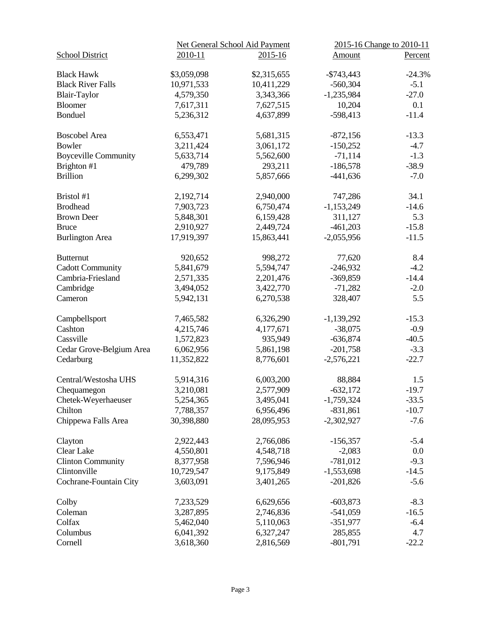|                             |             | Net General School Aid Payment | 2015-16 Change to 2010-11 |          |
|-----------------------------|-------------|--------------------------------|---------------------------|----------|
| <b>School District</b>      | 2010-11     | $2015 - 16$                    | <b>Amount</b>             | Percent  |
| <b>Black Hawk</b>           | \$3,059,098 | \$2,315,655                    | $-$ \$743,443             | $-24.3%$ |
| <b>Black River Falls</b>    | 10,971,533  | 10,411,229                     | $-560,304$                | $-5.1$   |
| <b>Blair-Taylor</b>         | 4,579,350   | 3,343,366                      | $-1,235,984$              | $-27.0$  |
| <b>Bloomer</b>              | 7,617,311   | 7,627,515                      | 10,204                    | 0.1      |
| Bonduel                     | 5,236,312   | 4,637,899                      | $-598,413$                | $-11.4$  |
| <b>Boscobel Area</b>        | 6,553,471   | 5,681,315                      | $-872,156$                | $-13.3$  |
| Bowler                      | 3,211,424   | 3,061,172                      | $-150,252$                | $-4.7$   |
| <b>Boyceville Community</b> | 5,633,714   | 5,562,600                      | $-71,114$                 | $-1.3$   |
| Brighton #1                 | 479,789     | 293,211                        | $-186,578$                | $-38.9$  |
| <b>Brillion</b>             | 6,299,302   | 5,857,666                      | $-441,636$                | $-7.0$   |
| Bristol #1                  | 2,192,714   | 2,940,000                      | 747,286                   | 34.1     |
| <b>Brodhead</b>             | 7,903,723   | 6,750,474                      | $-1,153,249$              | $-14.6$  |
| <b>Brown Deer</b>           | 5,848,301   | 6,159,428                      | 311,127                   | 5.3      |
| <b>Bruce</b>                | 2,910,927   | 2,449,724                      | $-461,203$                | $-15.8$  |
| <b>Burlington Area</b>      | 17,919,397  | 15,863,441                     | $-2,055,956$              | $-11.5$  |
| <b>Butternut</b>            | 920,652     | 998,272                        | 77,620                    | 8.4      |
| <b>Cadott Community</b>     | 5,841,679   | 5,594,747                      | $-246,932$                | $-4.2$   |
| Cambria-Friesland           | 2,571,335   | 2,201,476                      | $-369,859$                | $-14.4$  |
| Cambridge                   | 3,494,052   | 3,422,770                      | $-71,282$                 | $-2.0$   |
| Cameron                     | 5,942,131   | 6,270,538                      | 328,407                   | 5.5      |
| Campbellsport               | 7,465,582   | 6,326,290                      | $-1,139,292$              | $-15.3$  |
| Cashton                     | 4,215,746   | 4,177,671                      | $-38,075$                 | $-0.9$   |
| Cassville                   | 1,572,823   | 935,949                        | $-636,874$                | $-40.5$  |
| Cedar Grove-Belgium Area    | 6,062,956   | 5,861,198                      | $-201,758$                | $-3.3$   |
| Cedarburg                   | 11,352,822  | 8,776,601                      | $-2,576,221$              | $-22.7$  |
| Central/Westosha UHS        | 5,914,316   | 6,003,200                      | 88,884                    | 1.5      |
| Chequamegon                 | 3,210,081   | 2,577,909                      | $-632,172$                | $-19.7$  |
| Chetek-Weyerhaeuser         | 5,254,365   | 3,495,041                      | $-1,759,324$              | $-33.5$  |
| Chilton                     | 7,788,357   | 6,956,496                      | $-831,861$                | $-10.7$  |
| Chippewa Falls Area         | 30,398,880  | 28,095,953                     | $-2,302,927$              | $-7.6$   |
| Clayton                     | 2,922,443   | 2,766,086                      | $-156,357$                | $-5.4$   |
| <b>Clear Lake</b>           | 4,550,801   | 4,548,718                      | $-2,083$                  | 0.0      |
| <b>Clinton Community</b>    | 8,377,958   | 7,596,946                      | $-781,012$                | $-9.3$   |
| Clintonville                | 10,729,547  | 9,175,849                      | $-1,553,698$              | $-14.5$  |
| Cochrane-Fountain City      | 3,603,091   | 3,401,265                      | $-201,826$                | $-5.6$   |
| Colby                       | 7,233,529   | 6,629,656                      | $-603,873$                | $-8.3$   |
| Coleman                     | 3,287,895   | 2,746,836                      | $-541,059$                | $-16.5$  |
| Colfax                      | 5,462,040   | 5,110,063                      | $-351,977$                | $-6.4$   |
| Columbus                    | 6,041,392   | 6,327,247                      | 285,855                   | 4.7      |
| Cornell                     | 3,618,360   | 2,816,569                      | $-801,791$                | $-22.2$  |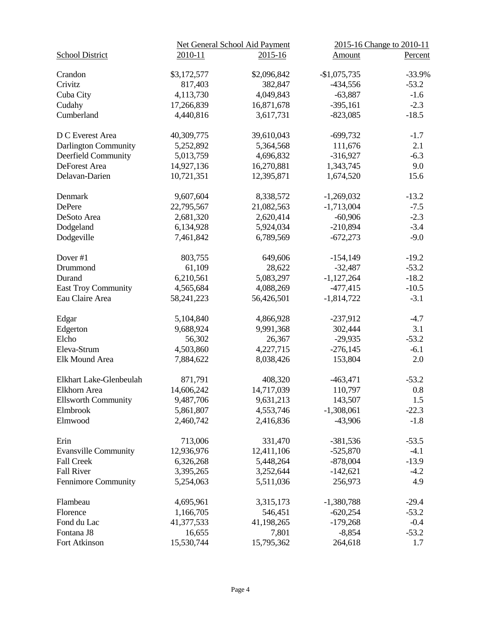|                             |              | Net General School Aid Payment | 2015-16 Change to 2010-11 |          |
|-----------------------------|--------------|--------------------------------|---------------------------|----------|
| <b>School District</b>      | 2010-11      | $2015 - 16$                    | <b>Amount</b>             | Percent  |
| Crandon                     | \$3,172,577  | \$2,096,842                    | $-$1,075,735$             | $-33.9%$ |
| Crivitz                     | 817,403      | 382,847                        | $-434,556$                | $-53.2$  |
| Cuba City                   | 4,113,730    | 4,049,843                      | $-63,887$                 | $-1.6$   |
| Cudahy                      | 17,266,839   | 16,871,678                     | $-395,161$                | $-2.3$   |
| Cumberland                  | 4,440,816    | 3,617,731                      | $-823,085$                | $-18.5$  |
| D C Everest Area            | 40,309,775   | 39,610,043                     | $-699,732$                | $-1.7$   |
| Darlington Community        | 5,252,892    | 5,364,568                      | 111,676                   | 2.1      |
| Deerfield Community         | 5,013,759    | 4,696,832                      | $-316,927$                | $-6.3$   |
| DeForest Area               | 14,927,136   | 16,270,881                     | 1,343,745                 | 9.0      |
| Delavan-Darien              | 10,721,351   | 12,395,871                     | 1,674,520                 | 15.6     |
| Denmark                     | 9,607,604    | 8,338,572                      | $-1,269,032$              | $-13.2$  |
| <b>DePere</b>               | 22,795,567   | 21,082,563                     | $-1,713,004$              | $-7.5$   |
| DeSoto Area                 | 2,681,320    | 2,620,414                      | $-60,906$                 | $-2.3$   |
| Dodgeland                   | 6,134,928    | 5,924,034                      | $-210,894$                | $-3.4$   |
| Dodgeville                  | 7,461,842    | 6,789,569                      | $-672,273$                | $-9.0$   |
| Dover #1                    | 803,755      | 649,606                        | $-154,149$                | $-19.2$  |
| Drummond                    | 61,109       | 28,622                         | $-32,487$                 | $-53.2$  |
| Durand                      | 6,210,561    | 5,083,297                      | $-1,127,264$              | $-18.2$  |
| <b>East Troy Community</b>  | 4,565,684    | 4,088,269                      | $-477,415$                | $-10.5$  |
| Eau Claire Area             | 58, 241, 223 | 56,426,501                     | $-1,814,722$              | $-3.1$   |
| Edgar                       | 5,104,840    | 4,866,928                      | $-237,912$                | $-4.7$   |
| Edgerton                    | 9,688,924    | 9,991,368                      | 302,444                   | 3.1      |
| Elcho                       | 56,302       | 26,367                         | $-29,935$                 | $-53.2$  |
| Eleva-Strum                 | 4,503,860    | 4,227,715                      | $-276,145$                | $-6.1$   |
| Elk Mound Area              | 7,884,622    | 8,038,426                      | 153,804                   | 2.0      |
| Elkhart Lake-Glenbeulah     | 871,791      | 408,320                        | $-463,471$                | $-53.2$  |
| Elkhorn Area                | 14,606,242   | 14,717,039                     | 110,797                   | 0.8      |
| <b>Ellsworth Community</b>  | 9,487,706    | 9,631,213                      | 143,507                   | 1.5      |
| Elmbrook                    | 5,861,807    | 4,553,746                      | $-1,308,061$              | $-22.3$  |
| Elmwood                     | 2,460,742    | 2,416,836                      | $-43,906$                 | $-1.8$   |
| Erin                        | 713,006      | 331,470                        | $-381,536$                | $-53.5$  |
| <b>Evansville Community</b> | 12,936,976   | 12,411,106                     | $-525,870$                | $-4.1$   |
| <b>Fall Creek</b>           | 6,326,268    | 5,448,264                      | $-878,004$                | $-13.9$  |
| <b>Fall River</b>           | 3,395,265    | 3,252,644                      | $-142,621$                | $-4.2$   |
| Fennimore Community         | 5,254,063    | 5,511,036                      | 256,973                   | 4.9      |
| Flambeau                    | 4,695,961    | 3,315,173                      | $-1,380,788$              | $-29.4$  |
| Florence                    | 1,166,705    | 546,451                        | $-620,254$                | $-53.2$  |
| Fond du Lac                 | 41,377,533   | 41,198,265                     | $-179,268$                | $-0.4$   |
| Fontana J8                  | 16,655       | 7,801                          | $-8,854$                  | $-53.2$  |
| Fort Atkinson               | 15,530,744   | 15,795,362                     | 264,618                   | 1.7      |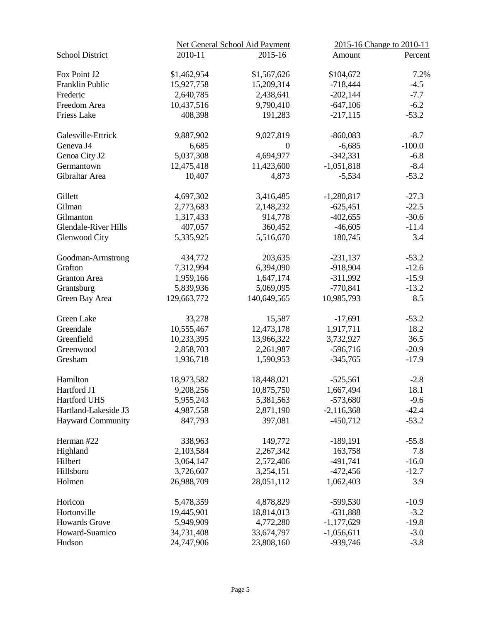|                             |             | Net General School Aid Payment | 2015-16 Change to 2010-11 |          |
|-----------------------------|-------------|--------------------------------|---------------------------|----------|
| <b>School District</b>      | 2010-11     | 2015-16                        | Amount                    | Percent  |
| Fox Point J2                | \$1,462,954 | \$1,567,626                    | \$104,672                 | 7.2%     |
| Franklin Public             | 15,927,758  | 15,209,314                     | $-718,444$                | $-4.5$   |
| Frederic                    | 2,640,785   | 2,438,641                      | $-202,144$                | $-7.7$   |
| Freedom Area                | 10,437,516  | 9,790,410                      | $-647,106$                | $-6.2$   |
| <b>Friess Lake</b>          | 408,398     | 191,283                        | $-217,115$                | $-53.2$  |
| Galesville-Ettrick          | 9,887,902   | 9,027,819                      | $-860,083$                | $-8.7$   |
| Geneva J4                   | 6,685       | $\overline{0}$                 | $-6,685$                  | $-100.0$ |
| Genoa City J2               | 5,037,308   | 4,694,977                      | $-342,331$                | $-6.8$   |
| Germantown                  | 12,475,418  | 11,423,600                     | $-1,051,818$              | $-8.4$   |
| Gibraltar Area              | 10,407      | 4,873                          | $-5,534$                  | $-53.2$  |
| Gillett                     | 4,697,302   | 3,416,485                      | $-1,280,817$              | $-27.3$  |
| Gilman                      | 2,773,683   | 2,148,232                      | $-625,451$                | $-22.5$  |
| Gilmanton                   | 1,317,433   | 914,778                        | $-402,655$                | $-30.6$  |
| <b>Glendale-River Hills</b> | 407,057     | 360,452                        | $-46,605$                 | $-11.4$  |
| Glenwood City               | 5,335,925   | 5,516,670                      | 180,745                   | 3.4      |
| Goodman-Armstrong           | 434,772     | 203,635                        | $-231,137$                | $-53.2$  |
| Grafton                     | 7,312,994   | 6,394,090                      | $-918,904$                | $-12.6$  |
| <b>Granton</b> Area         | 1,959,166   | 1,647,174                      | $-311,992$                | $-15.9$  |
| Grantsburg                  | 5,839,936   | 5,069,095                      | $-770,841$                | $-13.2$  |
| Green Bay Area              | 129,663,772 | 140,649,565                    | 10,985,793                | 8.5      |
| Green Lake                  | 33,278      | 15,587                         | $-17,691$                 | $-53.2$  |
| Greendale                   | 10,555,467  | 12,473,178                     | 1,917,711                 | 18.2     |
| Greenfield                  | 10,233,395  | 13,966,322                     | 3,732,927                 | 36.5     |
| Greenwood                   | 2,858,703   | 2,261,987                      | $-596,716$                | $-20.9$  |
| Gresham                     | 1,936,718   | 1,590,953                      | $-345,765$                | $-17.9$  |
| Hamilton                    | 18,973,582  | 18,448,021                     | $-525,561$                | $-2.8$   |
| Hartford J1                 | 9,208,256   | 10,875,750                     | 1,667,494                 | 18.1     |
| Hartford UHS                | 5,955,243   | 5,381,563                      | $-573,680$                | $-9.6$   |
| Hartland-Lakeside J3        | 4,987,558   | 2,871,190                      | $-2,116,368$              | $-42.4$  |
| <b>Hayward Community</b>    | 847,793     | 397,081                        | $-450,712$                | $-53.2$  |
| Herman #22                  | 338,963     | 149,772                        | $-189,191$                | $-55.8$  |
| Highland                    | 2,103,584   | 2,267,342                      | 163,758                   | 7.8      |
| Hilbert                     | 3,064,147   | 2,572,406                      | $-491,741$                | $-16.0$  |
| Hillsboro                   | 3,726,607   | 3,254,151                      | $-472,456$                | $-12.7$  |
| Holmen                      | 26,988,709  | 28,051,112                     | 1,062,403                 | 3.9      |
| Horicon                     | 5,478,359   | 4,878,829                      | $-599,530$                | $-10.9$  |
| Hortonville                 | 19,445,901  | 18,814,013                     | $-631,888$                | $-3.2$   |
| <b>Howards Grove</b>        | 5,949,909   | 4,772,280                      | $-1,177,629$              | $-19.8$  |
| Howard-Suamico              | 34,731,408  | 33,674,797                     | $-1,056,611$              | $-3.0$   |
| Hudson                      | 24,747,906  | 23,808,160                     | $-939,746$                | $-3.8$   |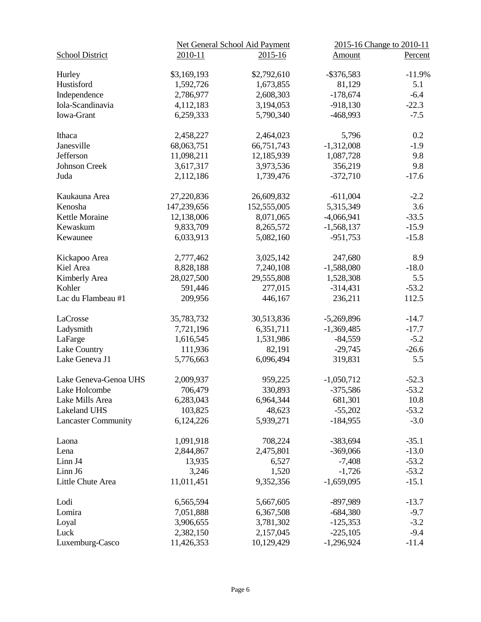|                            |             | Net General School Aid Payment | 2015-16 Change to 2010-11 |          |
|----------------------------|-------------|--------------------------------|---------------------------|----------|
| <b>School District</b>     | 2010-11     | $2015 - 16$                    | Amount                    | Percent  |
| Hurley                     | \$3,169,193 | \$2,792,610                    | $-$ \$376,583             | $-11.9%$ |
| Hustisford                 | 1,592,726   | 1,673,855                      | 81,129                    | 5.1      |
| Independence               | 2,786,977   | 2,608,303                      | $-178,674$                | $-6.4$   |
| Iola-Scandinavia           | 4,112,183   | 3,194,053                      | $-918,130$                | $-22.3$  |
| Iowa-Grant                 | 6,259,333   | 5,790,340                      | -468,993                  | $-7.5$   |
| Ithaca                     | 2,458,227   | 2,464,023                      | 5,796                     | 0.2      |
| Janesville                 | 68,063,751  | 66,751,743                     | $-1,312,008$              | $-1.9$   |
| Jefferson                  | 11,098,211  | 12,185,939                     | 1,087,728                 | 9.8      |
| Johnson Creek              | 3,617,317   | 3,973,536                      | 356,219                   | 9.8      |
| Juda                       | 2,112,186   | 1,739,476                      | $-372,710$                | $-17.6$  |
| Kaukauna Area              | 27,220,836  | 26,609,832                     | $-611,004$                | $-2.2$   |
| Kenosha                    | 147,239,656 | 152,555,005                    | 5,315,349                 | 3.6      |
| Kettle Moraine             | 12,138,006  | 8,071,065                      | $-4,066,941$              | $-33.5$  |
| Kewaskum                   | 9,833,709   | 8,265,572                      | $-1,568,137$              | $-15.9$  |
| Kewaunee                   | 6,033,913   | 5,082,160                      | $-951,753$                | $-15.8$  |
| Kickapoo Area              | 2,777,462   | 3,025,142                      | 247,680                   | 8.9      |
| Kiel Area                  | 8,828,188   | 7,240,108                      | $-1,588,080$              | $-18.0$  |
| Kimberly Area              | 28,027,500  | 29,555,808                     | 1,528,308                 | 5.5      |
| Kohler                     | 591,446     | 277,015                        | $-314,431$                | $-53.2$  |
| Lac du Flambeau #1         | 209,956     | 446,167                        | 236,211                   | 112.5    |
| LaCrosse                   | 35,783,732  | 30,513,836                     | $-5,269,896$              | $-14.7$  |
| Ladysmith                  | 7,721,196   | 6,351,711                      | $-1,369,485$              | $-17.7$  |
| LaFarge                    | 1,616,545   | 1,531,986                      | $-84,559$                 | $-5.2$   |
| Lake Country               | 111,936     | 82,191                         | $-29,745$                 | $-26.6$  |
| Lake Geneva J1             | 5,776,663   | 6,096,494                      | 319,831                   | 5.5      |
| Lake Geneva-Genoa UHS      | 2,009,937   | 959,225                        | $-1,050,712$              | $-52.3$  |
| Lake Holcombe              | 706,479     | 330,893                        | $-375,586$                | $-53.2$  |
| Lake Mills Area            | 6,283,043   | 6,964,344                      | 681,301                   | 10.8     |
| Lakeland UHS               | 103,825     | 48,623                         | $-55,202$                 | $-53.2$  |
| <b>Lancaster Community</b> | 6,124,226   | 5,939,271                      | $-184,955$                | $-3.0$   |
| Laona                      | 1,091,918   | 708,224                        | $-383,694$                | $-35.1$  |
| Lena                       | 2,844,867   | 2,475,801                      | $-369,066$                | $-13.0$  |
| Linn J4                    | 13,935      | 6,527                          | $-7,408$                  | $-53.2$  |
| Linn J6                    | 3,246       | 1,520                          | $-1,726$                  | $-53.2$  |
| Little Chute Area          | 11,011,451  | 9,352,356                      | $-1,659,095$              | $-15.1$  |
| Lodi                       | 6,565,594   | 5,667,605                      | $-897,989$                | $-13.7$  |
| Lomira                     | 7,051,888   | 6,367,508                      | $-684,380$                | $-9.7$   |
| Loyal                      | 3,906,655   | 3,781,302                      | $-125,353$                | $-3.2$   |
| Luck                       | 2,382,150   | 2,157,045                      | $-225,105$                | $-9.4$   |
| Luxemburg-Casco            | 11,426,353  | 10,129,429                     | $-1,296,924$              | $-11.4$  |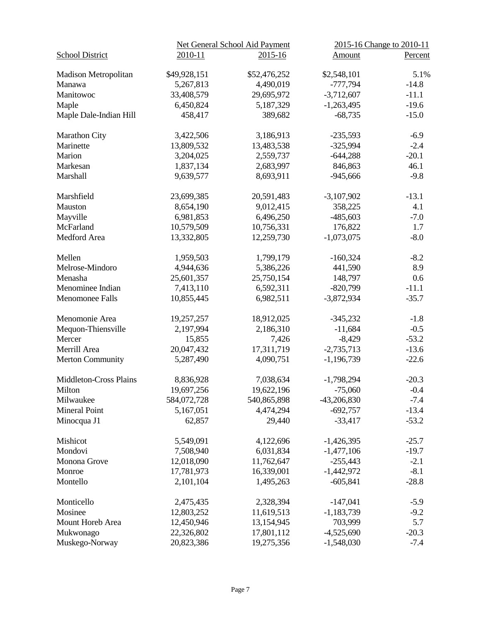|                               |              | Net General School Aid Payment | 2015-16 Change to 2010-11 |         |
|-------------------------------|--------------|--------------------------------|---------------------------|---------|
| <b>School District</b>        | 2010-11      | $2015 - 16$                    | <b>Amount</b>             | Percent |
| <b>Madison Metropolitan</b>   | \$49,928,151 | \$52,476,252                   | \$2,548,101               | 5.1%    |
| Manawa                        | 5,267,813    | 4,490,019                      | $-777,794$                | $-14.8$ |
| Manitowoc                     | 33,408,579   | 29,695,972                     | $-3,712,607$              | $-11.1$ |
| Maple                         | 6,450,824    | 5,187,329                      | $-1,263,495$              | $-19.6$ |
| Maple Dale-Indian Hill        | 458,417      | 389,682                        | $-68,735$                 | $-15.0$ |
| Marathon City                 | 3,422,506    | 3,186,913                      | $-235,593$                | $-6.9$  |
| Marinette                     | 13,809,532   | 13,483,538                     | $-325,994$                | $-2.4$  |
| Marion                        | 3,204,025    | 2,559,737                      | $-644,288$                | $-20.1$ |
| Markesan                      | 1,837,134    | 2,683,997                      | 846,863                   | 46.1    |
| Marshall                      | 9,639,577    | 8,693,911                      | $-945,666$                | $-9.8$  |
| Marshfield                    | 23,699,385   | 20,591,483                     | $-3,107,902$              | $-13.1$ |
| Mauston                       | 8,654,190    | 9,012,415                      | 358,225                   | 4.1     |
| Mayville                      | 6,981,853    | 6,496,250                      | $-485,603$                | $-7.0$  |
| McFarland                     | 10,579,509   | 10,756,331                     | 176,822                   | 1.7     |
| Medford Area                  | 13,332,805   | 12,259,730                     | $-1,073,075$              | $-8.0$  |
| Mellen                        | 1,959,503    | 1,799,179                      | $-160,324$                | $-8.2$  |
| Melrose-Mindoro               | 4,944,636    | 5,386,226                      | 441,590                   | 8.9     |
| Menasha                       | 25,601,357   | 25,750,154                     | 148,797                   | 0.6     |
| Menominee Indian              | 7,413,110    | 6,592,311                      | $-820,799$                | $-11.1$ |
| <b>Menomonee Falls</b>        | 10,855,445   | 6,982,511                      | $-3,872,934$              | $-35.7$ |
| Menomonie Area                | 19,257,257   | 18,912,025                     | $-345,232$                | $-1.8$  |
| Mequon-Thiensville            | 2,197,994    | 2,186,310                      | $-11,684$                 | $-0.5$  |
| Mercer                        | 15,855       | 7,426                          | $-8,429$                  | $-53.2$ |
| Merrill Area                  | 20,047,432   | 17,311,719                     | $-2,735,713$              | $-13.6$ |
| <b>Merton Community</b>       | 5,287,490    | 4,090,751                      | $-1,196,739$              | $-22.6$ |
| <b>Middleton-Cross Plains</b> | 8,836,928    | 7,038,634                      | $-1,798,294$              | $-20.3$ |
| Milton                        | 19,697,256   | 19,622,196                     | $-75,060$                 | $-0.4$  |
| Milwaukee                     | 584,072,728  | 540,865,898                    | $-43,206,830$             | $-7.4$  |
| Mineral Point                 | 5,167,051    | 4,474,294                      | $-692,757$                | $-13.4$ |
| Minocqua J1                   | 62,857       | 29,440                         | $-33,417$                 | $-53.2$ |
| Mishicot                      | 5,549,091    | 4,122,696                      | $-1,426,395$              | $-25.7$ |
| Mondovi                       | 7,508,940    | 6,031,834                      | $-1,477,106$              | $-19.7$ |
| Monona Grove                  | 12,018,090   | 11,762,647                     | $-255,443$                | $-2.1$  |
| Monroe                        | 17,781,973   | 16,339,001                     | $-1,442,972$              | $-8.1$  |
| Montello                      | 2,101,104    | 1,495,263                      | $-605,841$                | $-28.8$ |
| Monticello                    | 2,475,435    | 2,328,394                      | $-147,041$                | $-5.9$  |
| Mosinee                       | 12,803,252   | 11,619,513                     | $-1,183,739$              | $-9.2$  |
| Mount Horeb Area              | 12,450,946   | 13,154,945                     | 703,999                   | 5.7     |
| Mukwonago                     | 22,326,802   | 17,801,112                     | $-4,525,690$              | $-20.3$ |
| Muskego-Norway                | 20,823,386   | 19,275,356                     | $-1,548,030$              | $-7.4$  |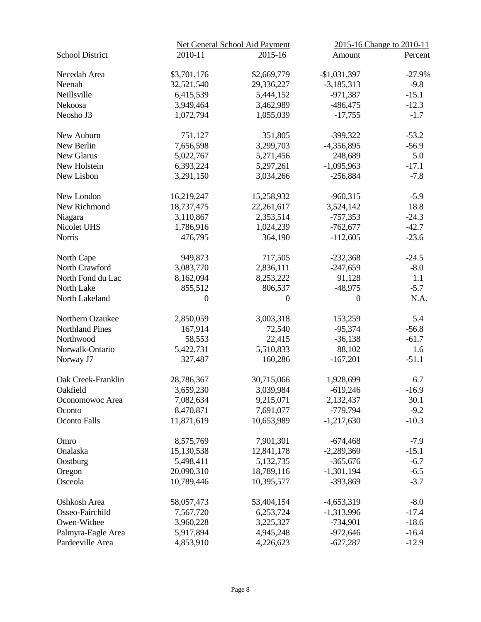|                        |                | Net General School Aid Payment | 2015-16 Change to 2010-11 |          |
|------------------------|----------------|--------------------------------|---------------------------|----------|
| <b>School District</b> | 2010-11        | $2015 - 16$                    | Amount                    | Percent  |
| Necedah Area           | \$3,701,176    | \$2,669,779                    | $-$1,031,397$             | $-27.9%$ |
| Neenah                 | 32,521,540     | 29,336,227                     | $-3,185,313$              | $-9.8$   |
| Neillsville            |                |                                |                           |          |
|                        | 6,415,539      | 5,444,152                      | $-971,387$                | $-15.1$  |
| Nekoosa                | 3,949,464      | 3,462,989                      | $-486,475$                | $-12.3$  |
| Neosho J3              | 1,072,794      | 1,055,039                      | $-17,755$                 | $-1.7$   |
| New Auburn             | 751,127        | 351,805                        | $-399,322$                | $-53.2$  |
| New Berlin             | 7,656,598      | 3,299,703                      | -4,356,895                | $-56.9$  |
| New Glarus             | 5,022,767      | 5,271,456                      | 248,689                   | 5.0      |
| New Holstein           | 6,393,224      | 5,297,261                      | $-1,095,963$              | $-17.1$  |
| New Lisbon             | 3,291,150      | 3,034,266                      | $-256,884$                | $-7.8$   |
|                        |                |                                |                           |          |
| New London             | 16,219,247     | 15,258,932                     | $-960,315$                | $-5.9$   |
| New Richmond           | 18,737,475     | 22,261,617                     | 3,524,142                 | 18.8     |
| Niagara                | 3,110,867      | 2,353,514                      | $-757,353$                | $-24.3$  |
| Nicolet UHS            | 1,786,916      | 1,024,239                      | $-762,677$                | $-42.7$  |
| <b>Norris</b>          | 476,795        | 364,190                        | $-112,605$                | $-23.6$  |
| North Cape             | 949,873        | 717,505                        | $-232,368$                | $-24.5$  |
| North Crawford         | 3,083,770      | 2,836,111                      | $-247,659$                | $-8.0$   |
| North Fond du Lac      | 8,162,094      | 8,253,222                      | 91,128                    | 1.1      |
|                        |                |                                |                           |          |
| North Lake             | 855,512        | 806,537                        | $-48,975$                 | $-5.7$   |
| North Lakeland         | $\overline{0}$ | $\overline{0}$                 | $\overline{0}$            | N.A.     |
| Northern Ozaukee       | 2,850,059      | 3,003,318                      | 153,259                   | 5.4      |
| <b>Northland Pines</b> | 167,914        | 72,540                         | $-95,374$                 | $-56.8$  |
| Northwood              | 58,553         | 22,415                         | $-36,138$                 | $-61.7$  |
| Norwalk-Ontario        | 5,422,731      | 5,510,833                      | 88,102                    | 1.6      |
| Norway J7              | 327,487        | 160,286                        | $-167,201$                | $-51.1$  |
| Oak Creek-Franklin     | 28,786,367     | 30,715,066                     | 1,928,699                 | 6.7      |
|                        | 3,659,230      | 3,039,984                      |                           |          |
| Oakfield               |                |                                | $-619,246$                | $-16.9$  |
| Oconomowoc Area        | 7,082,634      | 9,215,071                      | 2,132,437                 | 30.1     |
| Oconto                 | 8,470,871      | 7,691,077                      | $-779,794$                | $-9.2$   |
| <b>Oconto Falls</b>    | 11,871,619     | 10,653,989                     | $-1,217,630$              | $-10.3$  |
| Omro                   | 8,575,769      | 7,901,301                      | $-674,468$                | $-7.9$   |
| Onalaska               | 15,130,538     | 12,841,178                     | $-2,289,360$              | $-15.1$  |
| Oostburg               | 5,498,411      | 5,132,735                      | $-365,676$                | $-6.7$   |
| Oregon                 | 20,090,310     | 18,789,116                     | $-1,301,194$              | $-6.5$   |
| Osceola                | 10,789,446     | 10,395,577                     | -393,869                  | $-3.7$   |
|                        |                |                                |                           |          |
| Oshkosh Area           | 58,057,473     | 53,404,154                     | -4,653,319                | $-8.0$   |
| Osseo-Fairchild        | 7,567,720      | 6,253,724                      | $-1,313,996$              | $-17.4$  |
| Owen-Withee            | 3,960,228      | 3,225,327                      | $-734,901$                | $-18.6$  |
| Palmyra-Eagle Area     | 5,917,894      | 4,945,248                      | $-972,646$                | $-16.4$  |
| Pardeeville Area       | 4,853,910      | 4,226,623                      | $-627,287$                | $-12.9$  |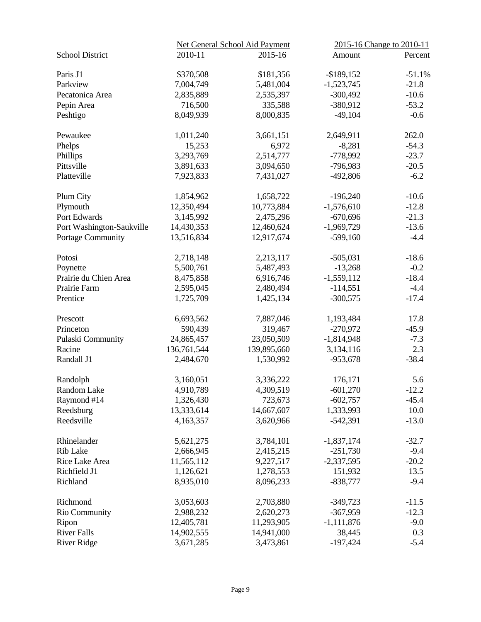|                           |             | Net General School Aid Payment | 2015-16 Change to 2010-11 |          |
|---------------------------|-------------|--------------------------------|---------------------------|----------|
| <b>School District</b>    | 2010-11     | $2015 - 16$                    | Amount                    | Percent  |
| Paris J1                  | \$370,508   | \$181,356                      | $-$ \$189,152             | $-51.1%$ |
| Parkview                  | 7,004,749   | 5,481,004                      | $-1,523,745$              | $-21.8$  |
| Pecatonica Area           | 2,835,889   | 2,535,397                      | $-300,492$                | $-10.6$  |
| Pepin Area                | 716,500     | 335,588                        | $-380,912$                | $-53.2$  |
| Peshtigo                  | 8,049,939   | 8,000,835                      | $-49,104$                 | $-0.6$   |
| Pewaukee                  | 1,011,240   | 3,661,151                      | 2,649,911                 | 262.0    |
| Phelps                    | 15,253      | 6,972                          | $-8,281$                  | $-54.3$  |
| Phillips                  | 3,293,769   | 2,514,777                      | $-778,992$                | $-23.7$  |
| Pittsville                | 3,891,633   | 3,094,650                      | $-796,983$                | $-20.5$  |
| Platteville               | 7,923,833   | 7,431,027                      | $-492,806$                | $-6.2$   |
| Plum City                 | 1,854,962   | 1,658,722                      | $-196,240$                | $-10.6$  |
| Plymouth                  | 12,350,494  | 10,773,884                     | $-1,576,610$              | $-12.8$  |
| Port Edwards              | 3,145,992   | 2,475,296                      | $-670,696$                | $-21.3$  |
| Port Washington-Saukville | 14,430,353  | 12,460,624                     | $-1,969,729$              | $-13.6$  |
| Portage Community         | 13,516,834  | 12,917,674                     | $-599,160$                | $-4.4$   |
| Potosi                    | 2,718,148   | 2,213,117                      | $-505,031$                | $-18.6$  |
| Poynette                  | 5,500,761   | 5,487,493                      | $-13,268$                 | $-0.2$   |
| Prairie du Chien Area     | 8,475,858   | 6,916,746                      | $-1,559,112$              | $-18.4$  |
| Prairie Farm              | 2,595,045   | 2,480,494                      | $-114,551$                | $-4.4$   |
| Prentice                  | 1,725,709   | 1,425,134                      | $-300,575$                | $-17.4$  |
| Prescott                  | 6,693,562   | 7,887,046                      | 1,193,484                 | 17.8     |
| Princeton                 | 590,439     | 319,467                        | $-270,972$                | $-45.9$  |
| Pulaski Community         | 24,865,457  | 23,050,509                     | $-1,814,948$              | $-7.3$   |
| Racine                    | 136,761,544 | 139,895,660                    | 3,134,116                 | 2.3      |
| Randall J1                | 2,484,670   | 1,530,992                      | $-953,678$                | $-38.4$  |
| Randolph                  | 3,160,051   | 3,336,222                      | 176,171                   | 5.6      |
| Random Lake               | 4,910,789   | 4,309,519                      | $-601,270$                | $-12.2$  |
| Raymond #14               | 1,326,430   | 723,673                        | $-602,757$                | $-45.4$  |
| Reedsburg                 | 13,333,614  | 14,667,607                     | 1,333,993                 | 10.0     |
| Reedsville                | 4,163,357   | 3,620,966                      | $-542,391$                | $-13.0$  |
| Rhinelander               | 5,621,275   | 3,784,101                      | $-1,837,174$              | $-32.7$  |
| <b>Rib Lake</b>           | 2,666,945   | 2,415,215                      | $-251,730$                | $-9.4$   |
| Rice Lake Area            | 11,565,112  | 9,227,517                      | $-2,337,595$              | $-20.2$  |
| Richfield J1              | 1,126,621   | 1,278,553                      | 151,932                   | 13.5     |
| Richland                  | 8,935,010   | 8,096,233                      | $-838,777$                | $-9.4$   |
| Richmond                  | 3,053,603   | 2,703,880                      | $-349,723$                | $-11.5$  |
| Rio Community             | 2,988,232   | 2,620,273                      | $-367,959$                | $-12.3$  |
| Ripon                     | 12,405,781  | 11,293,905                     | $-1,111,876$              | $-9.0$   |
| <b>River Falls</b>        | 14,902,555  | 14,941,000                     | 38,445                    | 0.3      |
| <b>River Ridge</b>        | 3,671,285   | 3,473,861                      | $-197,424$                | $-5.4$   |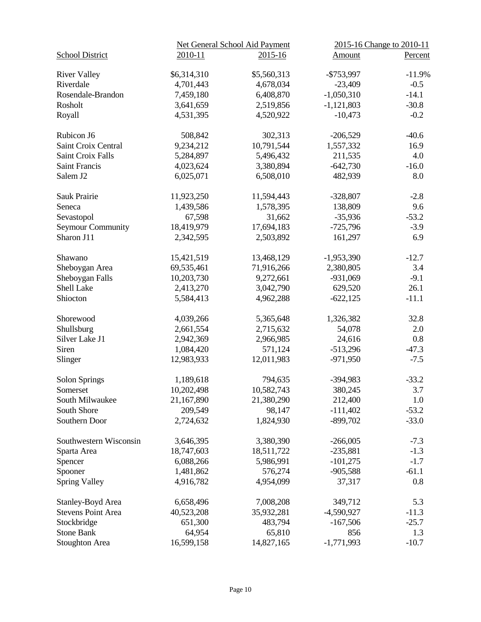|                           |             | Net General School Aid Payment | 2015-16 Change to 2010-11 |          |
|---------------------------|-------------|--------------------------------|---------------------------|----------|
| <b>School District</b>    | 2010-11     | 2015-16                        | Amount                    | Percent  |
| <b>River Valley</b>       | \$6,314,310 | \$5,560,313                    | $-$753,997$               | $-11.9%$ |
| Riverdale                 | 4,701,443   | 4,678,034                      | $-23,409$                 | $-0.5$   |
| Rosendale-Brandon         | 7,459,180   | 6,408,870                      | $-1,050,310$              | $-14.1$  |
| Rosholt                   | 3,641,659   | 2,519,856                      | $-1,121,803$              | $-30.8$  |
| Royall                    | 4,531,395   | 4,520,922                      | $-10,473$                 | $-0.2$   |
| Rubicon J6                | 508,842     | 302,313                        | $-206,529$                | $-40.6$  |
| Saint Croix Central       | 9,234,212   | 10,791,544                     | 1,557,332                 | 16.9     |
| <b>Saint Croix Falls</b>  | 5,284,897   | 5,496,432                      | 211,535                   | 4.0      |
| <b>Saint Francis</b>      | 4,023,624   | 3,380,894                      | $-642,730$                | $-16.0$  |
| Salem J2                  | 6,025,071   | 6,508,010                      | 482,939                   | 8.0      |
| Sauk Prairie              | 11,923,250  | 11,594,443                     | $-328,807$                | $-2.8$   |
| Seneca                    | 1,439,586   | 1,578,395                      | 138,809                   | 9.6      |
| Sevastopol                | 67,598      | 31,662                         | $-35,936$                 | $-53.2$  |
| <b>Seymour Community</b>  | 18,419,979  | 17,694,183                     | $-725,796$                | $-3.9$   |
| Sharon J11                | 2,342,595   | 2,503,892                      | 161,297                   | 6.9      |
| Shawano                   | 15,421,519  | 13,468,129                     | $-1,953,390$              | $-12.7$  |
| Sheboygan Area            | 69,535,461  | 71,916,266                     | 2,380,805                 | 3.4      |
| Sheboygan Falls           | 10,203,730  | 9,272,661                      | $-931,069$                | $-9.1$   |
| Shell Lake                | 2,413,270   | 3,042,790                      | 629,520                   | 26.1     |
| Shiocton                  | 5,584,413   | 4,962,288                      | $-622,125$                | $-11.1$  |
| Shorewood                 | 4,039,266   | 5,365,648                      | 1,326,382                 | 32.8     |
| Shullsburg                | 2,661,554   | 2,715,632                      | 54,078                    | 2.0      |
| Silver Lake J1            | 2,942,369   | 2,966,985                      | 24,616                    | 0.8      |
| Siren                     | 1,084,420   | 571,124                        | $-513,296$                | $-47.3$  |
| Slinger                   | 12,983,933  | 12,011,983                     | $-971,950$                | $-7.5$   |
| Solon Springs             | 1,189,618   | 794,635                        | $-394,983$                | $-33.2$  |
| Somerset                  | 10,202,498  | 10,582,743                     | 380,245                   | 3.7      |
| South Milwaukee           | 21,167,890  | 21,380,290                     | 212,400                   | 1.0      |
| South Shore               | 209,549     | 98,147                         | $-111,402$                | $-53.2$  |
| Southern Door             | 2,724,632   | 1,824,930                      | $-899,702$                | $-33.0$  |
| Southwestern Wisconsin    | 3,646,395   | 3,380,390                      | $-266,005$                | $-7.3$   |
| Sparta Area               | 18,747,603  | 18,511,722                     | $-235,881$                | $-1.3$   |
| Spencer                   | 6,088,266   | 5,986,991                      | $-101,275$                | $-1.7$   |
| Spooner                   | 1,481,862   | 576,274                        | $-905,588$                | $-61.1$  |
| <b>Spring Valley</b>      | 4,916,782   | 4,954,099                      | 37,317                    | 0.8      |
| Stanley-Boyd Area         | 6,658,496   | 7,008,208                      | 349,712                   | 5.3      |
| <b>Stevens Point Area</b> | 40,523,208  | 35,932,281                     | $-4,590,927$              | $-11.3$  |
| Stockbridge               | 651,300     | 483,794                        | $-167,506$                | $-25.7$  |
| <b>Stone Bank</b>         | 64,954      | 65,810                         | 856                       | 1.3      |
| <b>Stoughton Area</b>     | 16,599,158  | 14,827,165                     | $-1,771,993$              | $-10.7$  |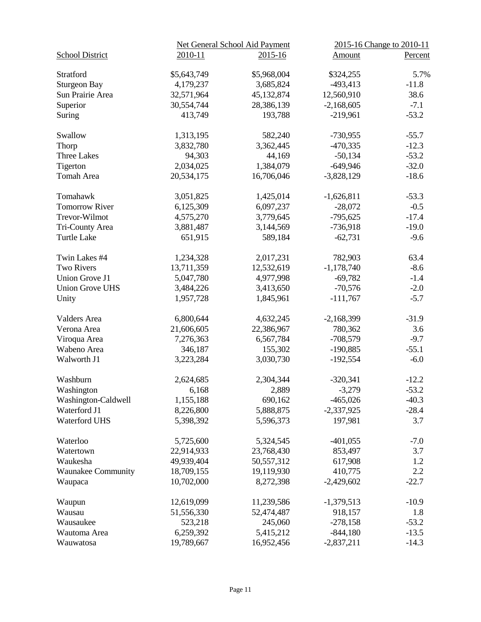|                           |             | Net General School Aid Payment | 2015-16 Change to 2010-11 |         |
|---------------------------|-------------|--------------------------------|---------------------------|---------|
| <b>School District</b>    | 2010-11     | $2015 - 16$                    | Amount                    | Percent |
| Stratford                 |             |                                |                           | 5.7%    |
|                           | \$5,643,749 | \$5,968,004                    | \$324,255                 |         |
| <b>Sturgeon Bay</b>       | 4,179,237   | 3,685,824                      | $-493,413$                | $-11.8$ |
| Sun Prairie Area          | 32,571,964  | 45,132,874                     | 12,560,910                | 38.6    |
| Superior                  | 30,554,744  | 28,386,139                     | $-2,168,605$              | $-7.1$  |
| Suring                    | 413,749     | 193,788                        | $-219,961$                | $-53.2$ |
| Swallow                   | 1,313,195   | 582,240                        | $-730,955$                | $-55.7$ |
| Thorp                     | 3,832,780   | 3,362,445                      | $-470,335$                | $-12.3$ |
| <b>Three Lakes</b>        | 94,303      | 44,169                         | $-50,134$                 | $-53.2$ |
| Tigerton                  | 2,034,025   | 1,384,079                      | $-649,946$                | $-32.0$ |
| Tomah Area                | 20,534,175  | 16,706,046                     | $-3,828,129$              | $-18.6$ |
|                           |             |                                |                           |         |
| Tomahawk                  | 3,051,825   | 1,425,014                      | $-1,626,811$              | $-53.3$ |
| <b>Tomorrow River</b>     | 6,125,309   | 6,097,237                      | $-28,072$                 | $-0.5$  |
| Trevor-Wilmot             | 4,575,270   | 3,779,645                      | $-795,625$                | $-17.4$ |
| Tri-County Area           | 3,881,487   | 3,144,569                      | $-736,918$                | $-19.0$ |
| <b>Turtle Lake</b>        | 651,915     | 589,184                        | $-62,731$                 | $-9.6$  |
| Twin Lakes #4             | 1,234,328   | 2,017,231                      | 782,903                   | 63.4    |
| <b>Two Rivers</b>         | 13,711,359  | 12,532,619                     | $-1,178,740$              | $-8.6$  |
| <b>Union Grove J1</b>     | 5,047,780   | 4,977,998                      | $-69,782$                 | $-1.4$  |
| <b>Union Grove UHS</b>    | 3,484,226   | 3,413,650                      | $-70,576$                 | $-2.0$  |
| Unity                     | 1,957,728   | 1,845,961                      | $-111,767$                | $-5.7$  |
| <b>Valders Area</b>       | 6,800,644   | 4,632,245                      | $-2,168,399$              | $-31.9$ |
| Verona Area               | 21,606,605  | 22,386,967                     | 780,362                   | 3.6     |
| Viroqua Area              | 7,276,363   | 6,567,784                      | $-708,579$                | $-9.7$  |
| Wabeno Area               | 346,187     | 155,302                        | $-190,885$                | $-55.1$ |
| Walworth J1               |             | 3,030,730                      |                           | $-6.0$  |
|                           | 3,223,284   |                                | $-192,554$                |         |
| Washburn                  | 2,624,685   | 2,304,344                      | $-320,341$                | $-12.2$ |
| Washington                | 6,168       | 2,889                          | $-3,279$                  | $-53.2$ |
| Washington-Caldwell       | 1,155,188   | 690,162                        | $-465,026$                | $-40.3$ |
| Waterford J1              | 8,226,800   | 5,888,875                      | $-2,337,925$              | $-28.4$ |
| Waterford UHS             | 5,398,392   | 5,596,373                      | 197,981                   | 3.7     |
| Waterloo                  | 5,725,600   | 5,324,545                      | $-401,055$                | $-7.0$  |
| Watertown                 | 22,914,933  | 23,768,430                     | 853,497                   | 3.7     |
| Waukesha                  | 49,939,404  | 50,557,312                     | 617,908                   | 1.2     |
| <b>Waunakee Community</b> | 18,709,155  | 19,119,930                     | 410,775                   | 2.2     |
| Waupaca                   | 10,702,000  | 8,272,398                      | $-2,429,602$              | $-22.7$ |
|                           |             |                                |                           |         |
| Waupun                    | 12,619,099  | 11,239,586                     | $-1,379,513$              | $-10.9$ |
| Wausau                    | 51,556,330  | 52,474,487                     | 918,157                   | 1.8     |
| Wausaukee                 | 523,218     | 245,060                        | $-278,158$                | $-53.2$ |
| Wautoma Area              | 6,259,392   | 5,415,212                      | $-844,180$                | $-13.5$ |
| Wauwatosa                 | 19,789,667  | 16,952,456                     | $-2,837,211$              | $-14.3$ |